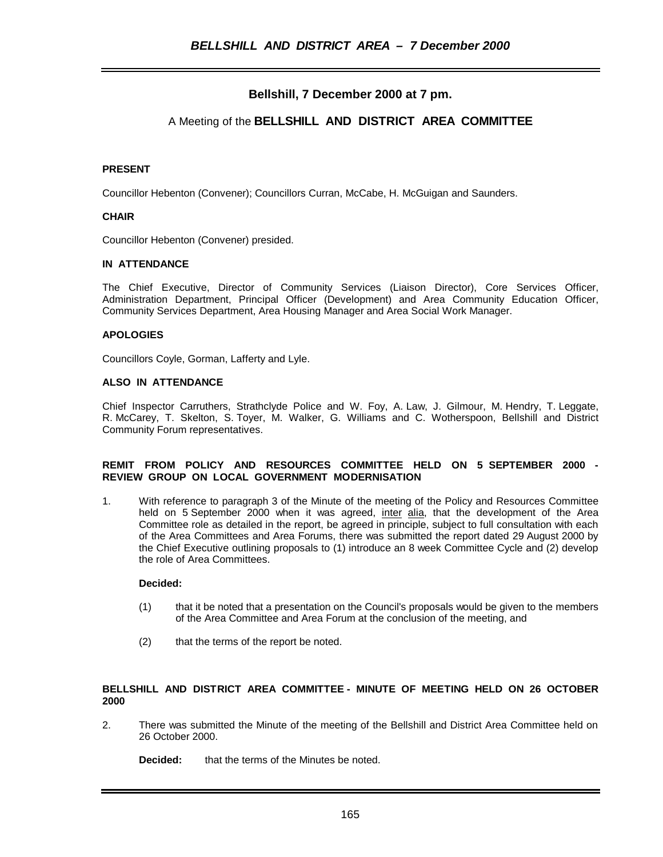## **Bellshill, 7 December 2000 at 7 pm.**

## A Meeting of the **BELLSHILL AND DISTRICT AREA COMMITTEE**

#### **PRESENT**

Councillor Hebenton (Convener); Councillors Curran, McCabe, H. McGuigan and Saunders.

#### **CHAIR**

Councillor Hebenton (Convener) presided.

#### **IN ATTENDANCE**

The Chief Executive, Director of Community Services (Liaison Director), Core Services Officer, Administration Department, Principal Officer (Development) and Area Community Education Officer, Community Services Department, Area Housing Manager and Area Social Work Manager.

#### **APOLOGIES**

Councillors Coyle, Gorman, Lafferty and Lyle.

#### **ALSO IN ATTENDANCE**

Chief Inspector Carruthers, Strathclyde Police and W. Foy, A. Law, J. Gilmour, M. Hendry, T. Leggate, R. McCarey, T. Skelton, S. Toyer, M. Walker, G. Williams and C. Wotherspoon, Bellshill and District Community Forum representatives.

#### **REMIT FROM POLICY AND RESOURCES COMMITTEE HELD ON 5 SEPTEMBER 2000 - REVIEW GROUP ON LOCAL GOVERNMENT MODERNISATION**

1. With reference to paragraph 3 of the Minute of the meeting of the Policy and Resources Committee held on 5 September 2000 when it was agreed, inter alia, that the development of the Area Committee role as detailed in the report, be agreed in principle, subject to full consultation with each of the Area Committees and Area Forums, there was submitted the report dated 29 August 2000 by the Chief Executive outlining proposals to (1) introduce an 8 week Committee Cycle and (2) develop the role of Area Committees.

#### **Decided:**

- (1) that it be noted that a presentation on the Council's proposals would be given to the members of the Area Committee and Area Forum at the conclusion of the meeting, and
- (2) that the terms of the report be noted.

#### **BELLSHILL AND DISTRICT AREA COMMITTEE - MINUTE OF MEETING HELD ON 26 OCTOBER 2000**

2. There was submitted the Minute of the meeting of the Bellshill and District Area Committee held on 26 October 2000.

**Decided:** that the terms of the Minutes be noted.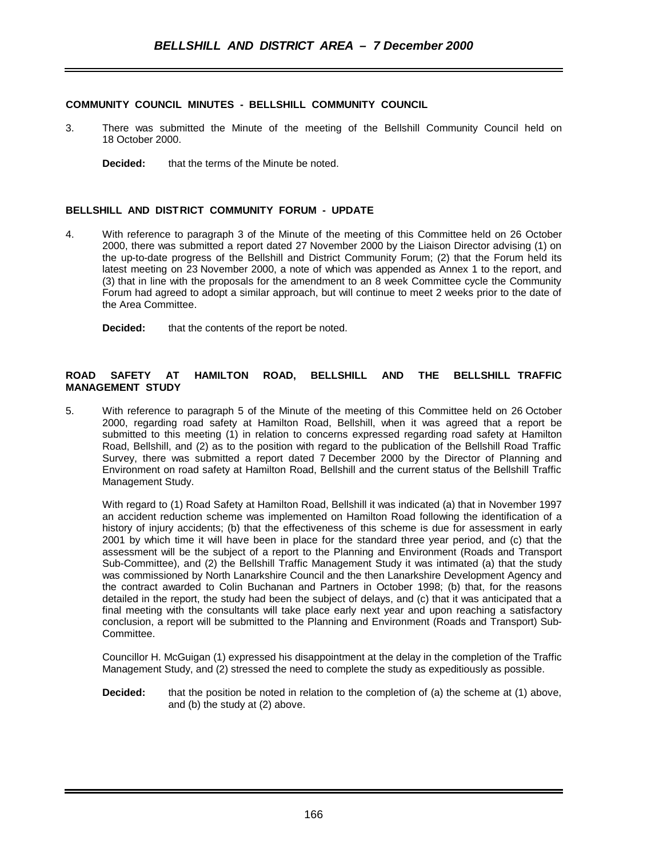## **COMMUNITY COUNCIL MINUTES - BELLSHILL COMMUNITY COUNCIL**

- 3. There was submitted the Minute of the meeting of the Bellshill Community Council held on 18 October 2000.
	- **Decided:** that the terms of the Minute be noted.

## **BELLSHILL AND DISTRICT COMMUNITY FORUM - UPDATE**

4. With reference to paragraph 3 of the Minute of the meeting of this Committee held on 26 October 2000, there was submitted a report dated 27 November 2000 by the Liaison Director advising (1) on the up-to-date progress of the Bellshill and District Community Forum; (2) that the Forum held its latest meeting on 23 November 2000, a note of which was appended as Annex 1 to the report, and (3) that in line with the proposals for the amendment to an 8 week Committee cycle the Community Forum had agreed to adopt a similar approach, but will continue to meet 2 weeks prior to the date of the Area Committee.

**Decided:** that the contents of the report be noted.

### **ROAD SAFETY AT HAMILTON ROAD, BELLSHILL AND THE BELLSHILL TRAFFIC MANAGEMENT STUDY**

5. With reference to paragraph 5 of the Minute of the meeting of this Committee held on 26 October 2000, regarding road safety at Hamilton Road, Bellshill, when it was agreed that a report be submitted to this meeting (1) in relation to concerns expressed regarding road safety at Hamilton Road, Bellshill, and (2) as to the position with regard to the publication of the Bellshill Road Traffic Survey, there was submitted a report dated 7 December 2000 by the Director of Planning and Environment on road safety at Hamilton Road, Bellshill and the current status of the Bellshill Traffic Management Study.

With regard to (1) Road Safety at Hamilton Road, Bellshill it was indicated (a) that in November 1997 an accident reduction scheme was implemented on Hamilton Road following the identification of a history of injury accidents; (b) that the effectiveness of this scheme is due for assessment in early 2001 by which time it will have been in place for the standard three year period, and (c) that the assessment will be the subject of a report to the Planning and Environment (Roads and Transport Sub-Committee), and (2) the Bellshill Traffic Management Study it was intimated (a) that the study was commissioned by North Lanarkshire Council and the then Lanarkshire Development Agency and the contract awarded to Colin Buchanan and Partners in October 1998; (b) that, for the reasons detailed in the report, the study had been the subject of delays, and (c) that it was anticipated that a final meeting with the consultants will take place early next year and upon reaching a satisfactory conclusion, a report will be submitted to the Planning and Environment (Roads and Transport) Sub-**Committee.** 

Councillor H. McGuigan (1) expressed his disappointment at the delay in the completion of the Traffic Management Study, and (2) stressed the need to complete the study as expeditiously as possible.

**Decided:** that the position be noted in relation to the completion of (a) the scheme at (1) above, and (b) the study at (2) above.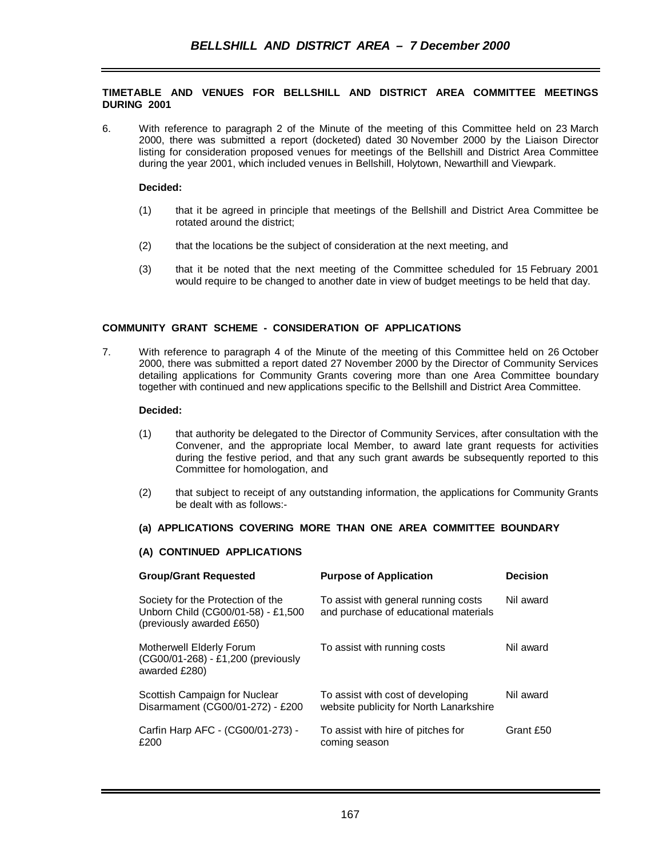### **TIMETABLE AND VENUES FOR BELLSHILL AND DISTRICT AREA COMMITTEE MEETINGS DURING 2001**

6. With reference to paragraph 2 of the Minute of the meeting of this Committee held on 23 March 2000, there was submitted a report (docketed) dated 30 November 2000 by the Liaison Director listing for consideration proposed venues for meetings of the Bellshill and District Area Committee during the year 2001, which included venues in Bellshill, Holytown, Newarthill and Viewpark.

### **Decided:**

- (1) that it be agreed in principle that meetings of the Bellshill and District Area Committee be rotated around the district;
- (2) that the locations be the subject of consideration at the next meeting, and
- (3) that it be noted that the next meeting of the Committee scheduled for 15 February 2001 would require to be changed to another date in view of budget meetings to be held that day.

## **COMMUNITY GRANT SCHEME - CONSIDERATION OF APPLICATIONS**

7. With reference to paragraph 4 of the Minute of the meeting of this Committee held on 26 October 2000, there was submitted a report dated 27 November 2000 by the Director of Community Services detailing applications for Community Grants covering more than one Area Committee boundary together with continued and new applications specific to the Bellshill and District Area Committee.

#### **Decided:**

- (1) that authority be delegated to the Director of Community Services, after consultation with the Convener, and the appropriate local Member, to award late grant requests for activities during the festive period, and that any such grant awards be subsequently reported to this Committee for homologation, and
- (2) that subject to receipt of any outstanding information, the applications for Community Grants be dealt with as follows:-

## **(a) APPLICATIONS COVERING MORE THAN ONE AREA COMMITTEE BOUNDARY**

#### **(A) CONTINUED APPLICATIONS**

| <b>Group/Grant Requested</b>                                                                         | <b>Purpose of Application</b>                                                 | <b>Decision</b> |
|------------------------------------------------------------------------------------------------------|-------------------------------------------------------------------------------|-----------------|
| Society for the Protection of the<br>Unborn Child (CG00/01-58) - £1,500<br>(previously awarded £650) | To assist with general running costs<br>and purchase of educational materials | Nil award       |
| Motherwell Elderly Forum<br>(CG00/01-268) - £1,200 (previously<br>awarded £280)                      | To assist with running costs                                                  | Nil award       |
| Scottish Campaign for Nuclear<br>Disarmament (CG00/01-272) - £200                                    | To assist with cost of developing<br>website publicity for North Lanarkshire  | Nil award       |
| Carfin Harp AFC - (CG00/01-273) -<br>£200                                                            | To assist with hire of pitches for<br>coming season                           | Grant £50       |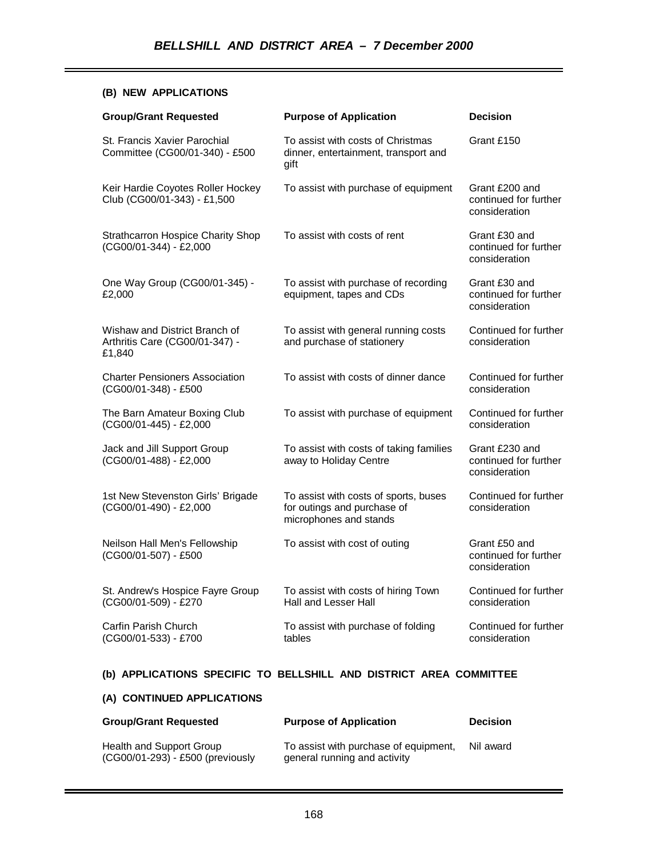## **(B) NEW APPLICATIONS**

| <b>Group/Grant Requested</b>                                              | <b>Purpose of Application</b>                                                                  | <b>Decision</b>                                          |
|---------------------------------------------------------------------------|------------------------------------------------------------------------------------------------|----------------------------------------------------------|
| St. Francis Xavier Parochial<br>Committee (CG00/01-340) - £500            | To assist with costs of Christmas<br>dinner, entertainment, transport and<br>gift              | Grant £150                                               |
| Keir Hardie Coyotes Roller Hockey<br>Club (CG00/01-343) - £1,500          | To assist with purchase of equipment                                                           | Grant £200 and<br>continued for further<br>consideration |
| <b>Strathcarron Hospice Charity Shop</b><br>(CG00/01-344) - £2,000        | To assist with costs of rent                                                                   | Grant £30 and<br>continued for further<br>consideration  |
| One Way Group (CG00/01-345) -<br>£2,000                                   | To assist with purchase of recording<br>equipment, tapes and CDs                               | Grant £30 and<br>continued for further<br>consideration  |
| Wishaw and District Branch of<br>Arthritis Care (CG00/01-347) -<br>£1,840 | To assist with general running costs<br>and purchase of stationery                             | Continued for further<br>consideration                   |
| <b>Charter Pensioners Association</b><br>(CG00/01-348) - £500             | To assist with costs of dinner dance                                                           | Continued for further<br>consideration                   |
| The Barn Amateur Boxing Club<br>(CG00/01-445) - £2,000                    | To assist with purchase of equipment                                                           | Continued for further<br>consideration                   |
| Jack and Jill Support Group<br>(CG00/01-488) - £2,000                     | To assist with costs of taking families<br>away to Holiday Centre                              | Grant £230 and<br>continued for further<br>consideration |
| 1st New Stevenston Girls' Brigade<br>(CG00/01-490) - £2,000               | To assist with costs of sports, buses<br>for outings and purchase of<br>microphones and stands | Continued for further<br>consideration                   |
| Neilson Hall Men's Fellowship<br>(CG00/01-507) - £500                     | To assist with cost of outing                                                                  | Grant £50 and<br>continued for further<br>consideration  |
| St. Andrew's Hospice Fayre Group<br>(CG00/01-509) - £270                  | To assist with costs of hiring Town<br>Hall and Lesser Hall                                    | Continued for further<br>consideration                   |
| Carfin Parish Church<br>(CG00/01-533) - £700                              | To assist with purchase of folding<br>tables                                                   | Continued for further<br>consideration                   |

# **(b) APPLICATIONS SPECIFIC TO BELLSHILL AND DISTRICT AREA COMMITTEE**

# **(A) CONTINUED APPLICATIONS**

| <b>Group/Grant Requested</b>                                 | <b>Purpose of Application</b>                                         | <b>Decision</b> |
|--------------------------------------------------------------|-----------------------------------------------------------------------|-----------------|
| Health and Support Group<br>(CG00/01-293) - £500 (previously | To assist with purchase of equipment,<br>general running and activity | Nil award       |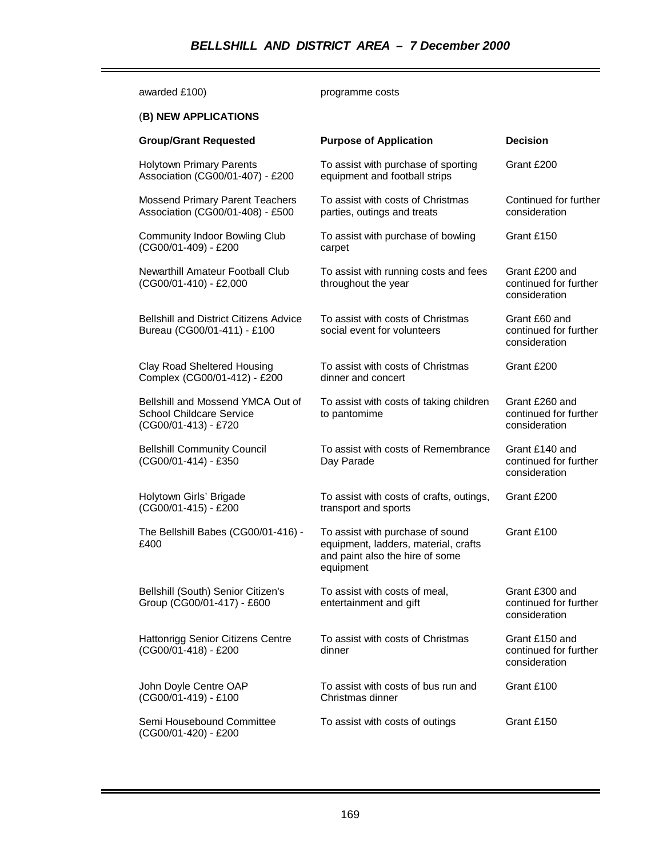| awarded £100)                                                                                | programme costs                                                                                                          |                                                          |  |  |
|----------------------------------------------------------------------------------------------|--------------------------------------------------------------------------------------------------------------------------|----------------------------------------------------------|--|--|
| (B) NEW APPLICATIONS                                                                         |                                                                                                                          |                                                          |  |  |
| <b>Group/Grant Requested</b>                                                                 | <b>Purpose of Application</b>                                                                                            | <b>Decision</b>                                          |  |  |
| <b>Holytown Primary Parents</b><br>Association (CG00/01-407) - £200                          | To assist with purchase of sporting<br>equipment and football strips                                                     | Grant £200                                               |  |  |
| <b>Mossend Primary Parent Teachers</b><br>Association (CG00/01-408) - £500                   | To assist with costs of Christmas<br>parties, outings and treats                                                         | Continued for further<br>consideration                   |  |  |
| <b>Community Indoor Bowling Club</b><br>(CG00/01-409) - £200                                 | To assist with purchase of bowling<br>carpet                                                                             | Grant £150                                               |  |  |
| Newarthill Amateur Football Club<br>(CG00/01-410) - £2,000                                   | To assist with running costs and fees<br>throughout the year                                                             | Grant £200 and<br>continued for further<br>consideration |  |  |
| <b>Bellshill and District Citizens Advice</b><br>Bureau (CG00/01-411) - £100                 | To assist with costs of Christmas<br>social event for volunteers                                                         | Grant £60 and<br>continued for further<br>consideration  |  |  |
| <b>Clay Road Sheltered Housing</b><br>Complex (CG00/01-412) - £200                           | To assist with costs of Christmas<br>dinner and concert                                                                  | Grant £200                                               |  |  |
| Bellshill and Mossend YMCA Out of<br><b>School Childcare Service</b><br>(CG00/01-413) - £720 | To assist with costs of taking children<br>to pantomime                                                                  | Grant £260 and<br>continued for further<br>consideration |  |  |
| <b>Bellshill Community Council</b><br>(CG00/01-414) - £350                                   | To assist with costs of Remembrance<br>Day Parade                                                                        | Grant £140 and<br>continued for further<br>consideration |  |  |
| Holytown Girls' Brigade<br>(CG00/01-415) - £200                                              | To assist with costs of crafts, outings,<br>transport and sports                                                         | Grant £200                                               |  |  |
| The Bellshill Babes (CG00/01-416) -<br>£400                                                  | To assist with purchase of sound<br>equipment, ladders, material, crafts<br>and paint also the hire of some<br>equipment | Grant £100                                               |  |  |
| Bellshill (South) Senior Citizen's<br>Group (CG00/01-417) - £600                             | To assist with costs of meal,<br>entertainment and gift                                                                  | Grant £300 and<br>continued for further<br>consideration |  |  |
| <b>Hattonrigg Senior Citizens Centre</b><br>(CG00/01-418) - £200                             | To assist with costs of Christmas<br>dinner                                                                              | Grant £150 and<br>continued for further<br>consideration |  |  |
| John Doyle Centre OAP<br>(CG00/01-419) - £100                                                | To assist with costs of bus run and<br>Christmas dinner                                                                  | Grant £100                                               |  |  |
| Semi Housebound Committee<br>(CG00/01-420) - £200                                            | To assist with costs of outings                                                                                          | Grant £150                                               |  |  |

ī.